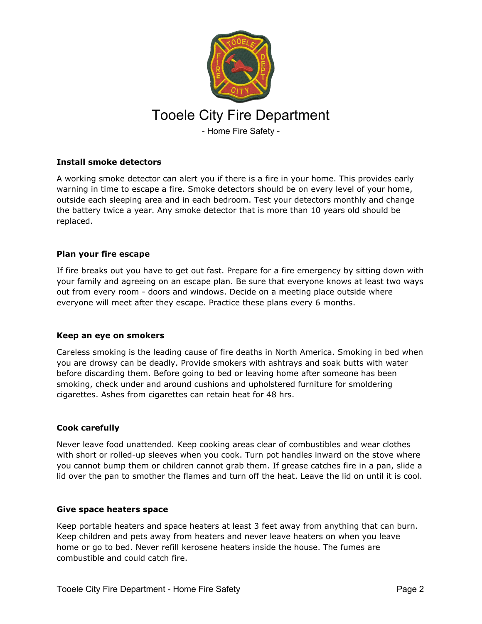

## **Install smoke detectors**

A working smoke detector can alert you if there is a fire in your home. This provides early warning in time to escape a fire. Smoke detectors should be on every level of your home, outside each sleeping area and in each bedroom. Test your detectors monthly and change the battery twice a year. Any smoke detector that is more than 10 years old should be replaced.

# **Plan your fire escape**

If fire breaks out you have to get out fast. Prepare for a fire emergency by sitting down with your family and agreeing on an escape plan. Be sure that everyone knows at least two ways out from every room - doors and windows. Decide on a meeting place outside where everyone will meet after they escape. Practice these plans every 6 months.

## **Keep an eye on smokers**

Careless smoking is the leading cause of fire deaths in North America. Smoking in bed when you are drowsy can be deadly. Provide smokers with ashtrays and soak butts with water before discarding them. Before going to bed or leaving home after someone has been smoking, check under and around cushions and upholstered furniture for smoldering cigarettes. Ashes from cigarettes can retain heat for 48 hrs.

## **Cook carefully**

Never leave food unattended. Keep cooking areas clear of combustibles and wear clothes with short or rolled-up sleeves when you cook. Turn pot handles inward on the stove where you cannot bump them or children cannot grab them. If grease catches fire in a pan, slide a lid over the pan to smother the flames and turn off the heat. Leave the lid on until it is cool.

#### **Give space heaters space**

Keep portable heaters and space heaters at least 3 feet away from anything that can burn. Keep children and pets away from heaters and never leave heaters on when you leave home or go to bed. Never refill kerosene heaters inside the house. The fumes are combustible and could catch fire.